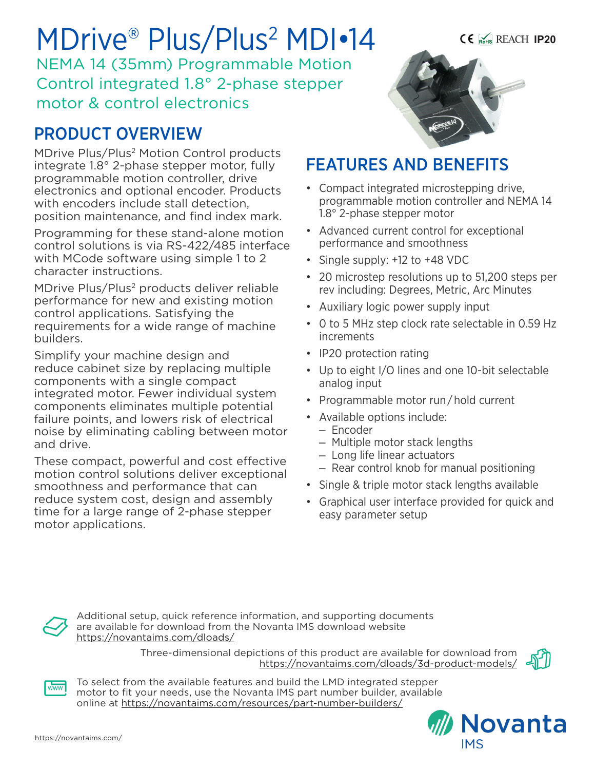# MDrive® Plus/Plus<sup>2</sup> MDI•14

NEMA 14 (35mm) Programmable Motion Control integrated 1.8° 2-phase stepper motor & control electronics

# PRODUCT OVERVIEW

MDrive Plus/Plus2 Motion Control products integrate 1.8° 2-phase stepper motor, fully programmable motion controller, drive electronics and optional encoder. Products with encoders include stall detection, position maintenance, and find index mark.

Programming for these stand-alone motion control solutions is via RS-422/485 interface with MCode software using simple 1 to 2 character instructions.

MDrive Plus/Plus<sup>2</sup> products deliver reliable performance for new and existing motion control applications. Satisfying the requirements for a wide range of machine builders.

Simplify your machine design and reduce cabinet size by replacing multiple components with a single compact integrated motor. Fewer individual system components eliminates multiple potential failure points, and lowers risk of electrical noise by eliminating cabling between motor and drive.

These compact, powerful and cost effective motion control solutions deliver exceptional smoothness and performance that can reduce system cost, design and assembly time for a large range of 2-phase stepper motor applications.



## FEATURES AND BENEFITS

- Compact integrated microstepping drive, programmable motion controller and NEMA 14 1.8° 2-phase stepper motor
- Advanced current control for exceptional performance and smoothness
- Single supply: +12 to +48 VDC
- 20 microstep resolutions up to 51,200 steps per rev including: Degrees, Metric, Arc Minutes
- Auxiliary logic power supply input
- 0 to 5 MHz step clock rate selectable in 0.59 Hz increments
- IP20 protection rating
- Up to eight I/O lines and one 10-bit selectable analog input
- Programmable motor run / hold current
- Available options include:
	- Encoder
	- Multiple motor stack lengths
	- Long life linear actuators
	- Rear control knob for manual positioning
- Single & triple motor stack lengths available
- Graphical user interface provided for quick and easy parameter setup



Additional setup, quick reference information, and supporting documents are available for download from the Novanta IMS download website https://novantaims.com/dloads/

> Three-dimensional depictions of this product are available for download from <https://novantaims.com/dloads/3d-product-models/>





To select from the available features and build the LMD integrated stepper motor to fit your needs, use the Novanta IMS part number builder, available online at <https://novantaims.com/resources/part-number-builders/>